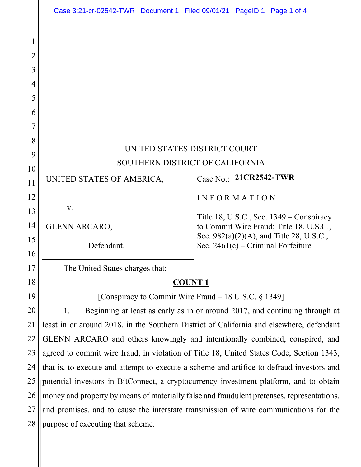|                                 | Case 3:21-cr-02542-TWR  Document 1  Filed 09/01/21  PageID.1  Page 1 of 4                  |                                                                                                                             |  |
|---------------------------------|--------------------------------------------------------------------------------------------|-----------------------------------------------------------------------------------------------------------------------------|--|
| 1<br>2<br>3<br>4<br>5<br>6<br>7 |                                                                                            |                                                                                                                             |  |
| 8                               |                                                                                            |                                                                                                                             |  |
| 9                               | UNITED STATES DISTRICT COURT                                                               |                                                                                                                             |  |
| 10                              | SOUTHERN DISTRICT OF CALIFORNIA                                                            |                                                                                                                             |  |
| 11                              | UNITED STATES OF AMERICA,                                                                  | Case No.: 21CR2542-TWR                                                                                                      |  |
| 12<br>13                        | V.                                                                                         | $I N F O R M A T I O N$<br>Title 18, U.S.C., Sec. $1349 -$ Conspiracy                                                       |  |
| 14<br>15<br>16                  | <b>GLENN ARCARO,</b><br>Defendant.                                                         | to Commit Wire Fraud; Title 18, U.S.C.,<br>Sec. 982(a)(2)(A), and Title 28, U.S.C.,<br>Sec. $2461(c)$ – Criminal Forfeiture |  |
| 17                              | The United States charges that:                                                            |                                                                                                                             |  |
| 18                              | <b>COUNT 1</b>                                                                             |                                                                                                                             |  |
| 19                              | [Conspiracy to Commit Wire Fraud – 18 U.S.C. § 1349]                                       |                                                                                                                             |  |
| 20                              | Beginning at least as early as in or around 2017, and continuing through at<br>1.          |                                                                                                                             |  |
| 21                              | least in or around 2018, in the Southern District of California and elsewhere, defendant   |                                                                                                                             |  |
| 22                              | GLENN ARCARO and others knowingly and intentionally combined, conspired, and               |                                                                                                                             |  |
| 23                              | agreed to commit wire fraud, in violation of Title 18, United States Code, Section 1343,   |                                                                                                                             |  |
| 24                              | that is, to execute and attempt to execute a scheme and artifice to defraud investors and  |                                                                                                                             |  |
| 25                              | potential investors in BitConnect, a cryptocurrency investment platform, and to obtain     |                                                                                                                             |  |
| 26                              | money and property by means of materially false and fraudulent pretenses, representations, |                                                                                                                             |  |
| 27                              | and promises, and to cause the interstate transmission of wire communications for the      |                                                                                                                             |  |
| 28                              | purpose of executing that scheme.                                                          |                                                                                                                             |  |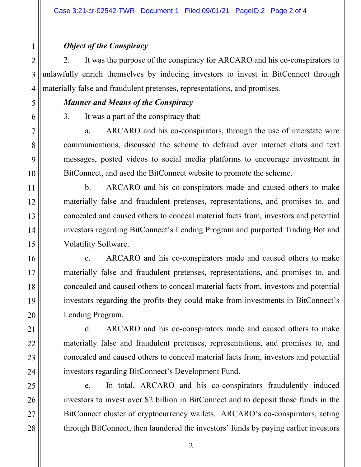## *Object of the Conspiracy*

2. It was the purpose of the conspiracy for ARCARO and his co-conspirators to unlawfully enrich themselves by inducing investors to invest in BitConnect through materially false and fraudulent pretenses, representations, and promises.

## *Manner and Means of the Conspiracy*

3. It was a part of the conspiracy that:

a. ARCARO and his co-conspirators, through the use of interstate wire communications, discussed the scheme to defraud over internet chats and text messages, posted videos to social media platforms to encourage investment in BitConnect, and used the BitConnect website to promote the scheme.

b. ARCARO and his co-conspirators made and caused others to make materially false and fraudulent pretenses, representations, and promises to, and concealed and caused others to conceal material facts from, investors and potential investors regarding BitConnect's Lending Program and purported Trading Bot and Volatility Software.

c. ARCARO and his co-conspirators made and caused others to make materially false and fraudulent pretenses, representations, and promises to, and concealed and caused others to conceal material facts from, investors and potential investors regarding the profits they could make from investments in BitConnect's Lending Program.

d. ARCARO and his co-conspirators made and caused others to make materially false and fraudulent pretenses, representations, and promises to, and concealed and caused others to conceal material facts from, investors and potential investors regarding BitConnect's Development Fund.

e. In total, ARCARO and his co-conspirators fraudulently induced investors to invest over \$2 billion in BitConnect and to deposit those funds in the BitConnect cluster of cryptocurrency wallets. ARCARO's co-conspirators, acting through BitConnect, then laundered the investors' funds by paying earlier investors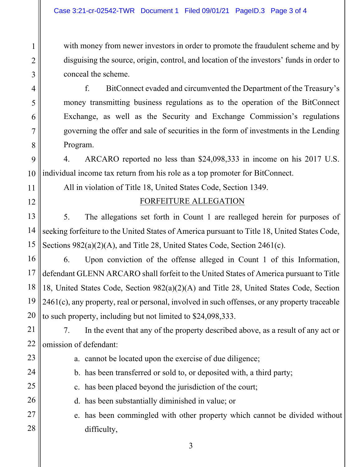1

2

3

4

5

6

7

8

11

12

13

14

15

23

24

25

26

27

28

with money from newer investors in order to promote the fraudulent scheme and by disguising the source, origin, control, and location of the investors' funds in order to conceal the scheme.

f. BitConnect evaded and circumvented the Department of the Treasury's money transmitting business regulations as to the operation of the BitConnect Exchange, as well as the Security and Exchange Commission's regulations governing the offer and sale of securities in the form of investments in the Lending Program.

9 10 4. ARCARO reported no less than \$24,098,333 in income on his 2017 U.S. individual income tax return from his role as a top promoter for BitConnect.

All in violation of Title 18, United States Code, Section 1349.

## FORFEITURE ALLEGATION

5. The allegations set forth in Count 1 are realleged herein for purposes of seeking forfeiture to the United States of America pursuant to Title 18, United States Code, Sections 982(a)(2)(A), and Title 28, United States Code, Section 2461(c).

16 17 18 19 20 6. Upon conviction of the offense alleged in Count 1 of this Information, defendant GLENN ARCARO shall forfeit to the United States of America pursuant to Title 18, United States Code, Section 982(a)(2)(A) and Title 28, United States Code, Section  $2461(c)$ , any property, real or personal, involved in such offenses, or any property traceable to such property, including but not limited to \$24,098,333.

21 22 7. In the event that any of the property described above, as a result of any act or omission of defendant:

- a. cannot be located upon the exercise of due diligence;
- b. has been transferred or sold to, or deposited with, a third party;
- c. has been placed beyond the jurisdiction of the court;
- d. has been substantially diminished in value; or
- e. has been commingled with other property which cannot be divided without difficulty,